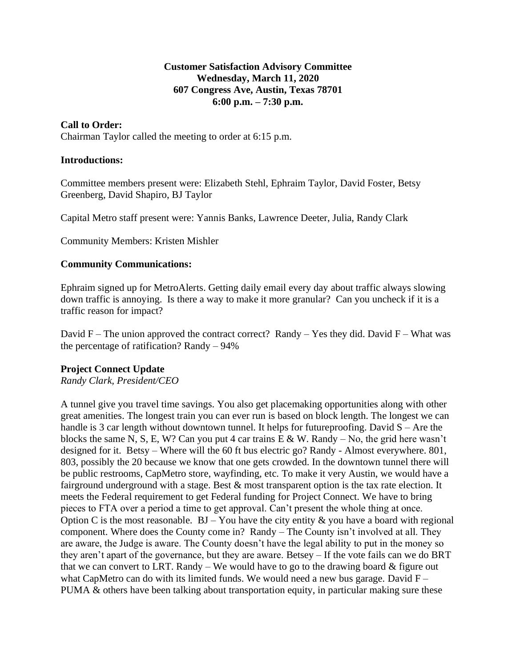### **Customer Satisfaction Advisory Committee Wednesday, March 11, 2020 607 Congress Ave, Austin, Texas 78701 6:00 p.m. – 7:30 p.m.**

## **Call to Order:**

Chairman Taylor called the meeting to order at 6:15 p.m.

#### **Introductions:**

Committee members present were: Elizabeth Stehl, Ephraim Taylor, David Foster, Betsy Greenberg, David Shapiro, BJ Taylor

Capital Metro staff present were: Yannis Banks, Lawrence Deeter, Julia, Randy Clark

Community Members: Kristen Mishler

### **Community Communications:**

Ephraim signed up for MetroAlerts. Getting daily email every day about traffic always slowing down traffic is annoying. Is there a way to make it more granular? Can you uncheck if it is a traffic reason for impact?

David F – The union approved the contract correct? Randy – Yes they did. David F – What was the percentage of ratification? Randy – 94%

# **Project Connect Update**

*Randy Clark, President/CEO*

A tunnel give you travel time savings. You also get placemaking opportunities along with other great amenities. The longest train you can ever run is based on block length. The longest we can handle is 3 car length without downtown tunnel. It helps for future proofing. David  $S -$  Are the blocks the same N, S, E, W? Can you put 4 car trains  $E \& W$ . Randy – No, the grid here wasn't designed for it. Betsy – Where will the 60 ft bus electric go? Randy - Almost everywhere. 801, 803, possibly the 20 because we know that one gets crowded. In the downtown tunnel there will be public restrooms, CapMetro store, wayfinding, etc. To make it very Austin, we would have a fairground underground with a stage. Best & most transparent option is the tax rate election. It meets the Federal requirement to get Federal funding for Project Connect. We have to bring pieces to FTA over a period a time to get approval. Can't present the whole thing at once. Option C is the most reasonable.  $BJ - You$  have the city entity  $\&$  you have a board with regional component. Where does the County come in? Randy – The County isn't involved at all. They are aware, the Judge is aware. The County doesn't have the legal ability to put in the money so they aren't apart of the governance, but they are aware. Betsey – If the vote fails can we do BRT that we can convert to LRT. Randy – We would have to go to the drawing board  $\&$  figure out what CapMetro can do with its limited funds. We would need a new bus garage. David  $F -$ PUMA & others have been talking about transportation equity, in particular making sure these